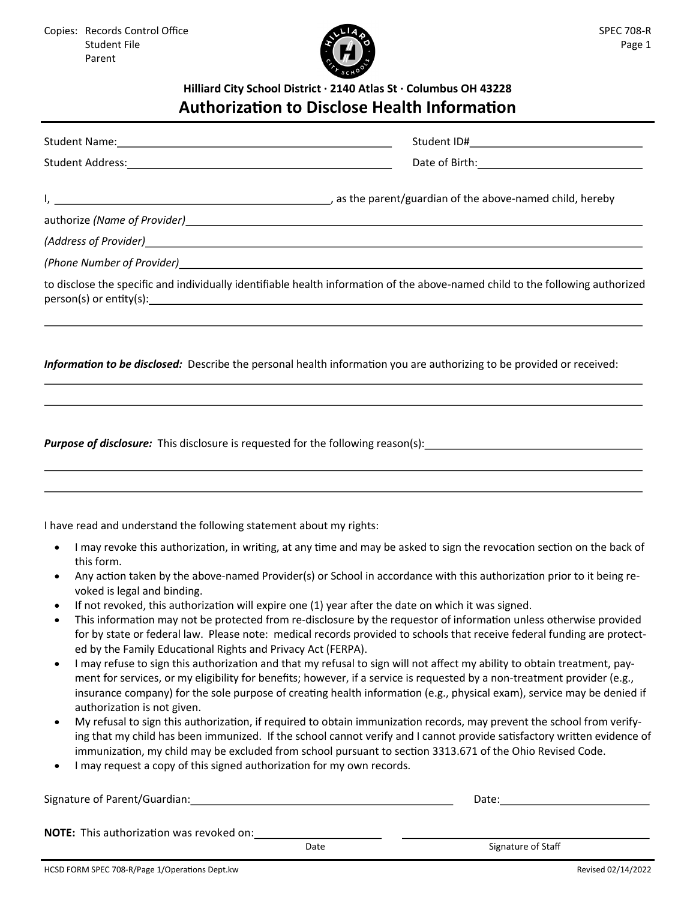

## **Hilliard City School District · 2140 Atlas St · Columbus OH 43228 Authorization to Disclose Health Information**

|                                                                     | Date of Birth: 2008 and 2010 and 2010 and 2010 and 2010 and 2010 and 2010 and 2010 and 2010 and 2010 and 2010                  |
|---------------------------------------------------------------------|--------------------------------------------------------------------------------------------------------------------------------|
|                                                                     |                                                                                                                                |
|                                                                     |                                                                                                                                |
|                                                                     |                                                                                                                                |
|                                                                     |                                                                                                                                |
|                                                                     | to disclose the specific and individually identifiable health information of the above-named child to the following authorized |
|                                                                     |                                                                                                                                |
|                                                                     | ,我们也不会有什么。""我们的人,我们也不会有什么?""我们的人,我们也不会有什么?""我们的人,我们也不会有什么?""我们的人,我们也不会有什么?""我们的人                                               |
|                                                                     | <b>Purpose of disclosure:</b> This disclosure is requested for the following reason(s):                                        |
|                                                                     |                                                                                                                                |
| I have read and understand the following statement about my rights: |                                                                                                                                |

- voked is legal and binding.
- If not revoked, this authorization will expire one (1) year after the date on which it was signed.
- This information may not be protected from re-disclosure by the requestor of information unless otherwise provided for by state or federal law. Please note: medical records provided to schools that receive federal funding are protected by the Family Educational Rights and Privacy Act (FERPA).
- I may refuse to sign this authorization and that my refusal to sign will not affect my ability to obtain treatment, payment for services, or my eligibility for benefits; however, if a service is requested by a non-treatment provider (e.g., insurance company) for the sole purpose of creating health information (e.g., physical exam), service may be denied if authorization is not given.
- My refusal to sign this authorization, if required to obtain immunization records, may prevent the school from verifying that my child has been immunized. If the school cannot verify and I cannot provide satisfactory written evidence of immunization, my child may be excluded from school pursuant to section 3313.671 of the Ohio Revised Code.
- I may request a copy of this signed authorization for my own records.

| Signature of Parent/Guardian:                   |      | Date:              |
|-------------------------------------------------|------|--------------------|
| <b>NOTE:</b> This authorization was revoked on: | Date | Signature of Staff |
|                                                 |      |                    |